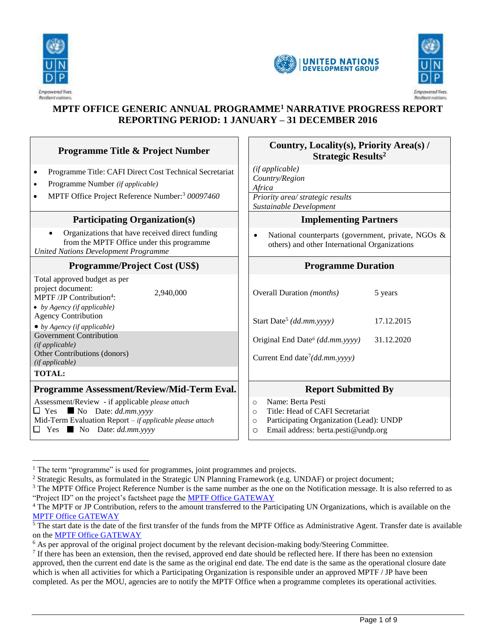





# **MPTF OFFICE GENERIC ANNUAL PROGRAMME<sup>1</sup> NARRATIVE PROGRESS REPORT REPORTING PERIOD: 1 JANUARY – 31 DECEMBER 2016**

| <b>Programme Title &amp; Project Number</b>                                                                                                                                                                        | Country, Locality(s), Priority Area(s) /<br><b>Strategic Results<sup>2</sup></b>                                                                                                   |  |  |  |  |
|--------------------------------------------------------------------------------------------------------------------------------------------------------------------------------------------------------------------|------------------------------------------------------------------------------------------------------------------------------------------------------------------------------------|--|--|--|--|
| Programme Title: CAFI Direct Cost Technical Secretariat<br>$\bullet$<br>Programme Number (if applicable)<br>$\bullet$<br>MPTF Office Project Reference Number: <sup>3</sup> 00097460<br>$\bullet$                  | (if applicable)<br>Country/Region<br>Africa<br>Priority area/ strategic results                                                                                                    |  |  |  |  |
| <b>Participating Organization(s)</b>                                                                                                                                                                               | Sustainable Development<br><b>Implementing Partners</b>                                                                                                                            |  |  |  |  |
| Organizations that have received direct funding<br>from the MPTF Office under this programme<br><b>United Nations Development Programme</b>                                                                        | National counterparts (government, private, NGOs &<br>$\bullet$<br>others) and other International Organizations                                                                   |  |  |  |  |
| <b>Programme/Project Cost (US\$)</b>                                                                                                                                                                               | <b>Programme Duration</b>                                                                                                                                                          |  |  |  |  |
| Total approved budget as per<br>project document:<br>2,940,000<br>MPTF /JP Contribution <sup>4</sup> :<br>$\bullet$ by Agency (if applicable)<br><b>Agency Contribution</b><br>$\bullet$ by Agency (if applicable) | Overall Duration (months)<br>5 years<br>Start Date <sup>5</sup> (dd.mm.yyyy)<br>17.12.2015                                                                                         |  |  |  |  |
| Government Contribution<br>(if applicable)<br>Other Contributions (donors)<br>(if applicable)                                                                                                                      | Original End Date <sup>6</sup> (dd.mm.yyyy)<br>31.12.2020<br>Current End date <sup>7</sup> (dd.mm.yyyy)                                                                            |  |  |  |  |
| <b>TOTAL:</b>                                                                                                                                                                                                      |                                                                                                                                                                                    |  |  |  |  |
| Programme Assessment/Review/Mid-Term Eval.                                                                                                                                                                         | <b>Report Submitted By</b>                                                                                                                                                         |  |  |  |  |
| Assessment/Review - if applicable please attach<br>$\Box$ Yes $\blacksquare$ No Date: dd.mm.yyyy<br>Mid-Term Evaluation Report - if applicable please attach<br>$\Box$ Yes No Date: dd.mm.yyyy                     | Name: Berta Pesti<br>$\circ$<br>Title: Head of CAFI Secretariat<br>$\circ$<br>Participating Organization (Lead): UNDP<br>$\circ$<br>Email address: berta.pesti@undp.org<br>$\circ$ |  |  |  |  |

 $\overline{a}$  $1$  The term "programme" is used for programmes, joint programmes and projects.

<sup>&</sup>lt;sup>2</sup> Strategic Results, as formulated in the Strategic UN Planning Framework (e.g. UNDAF) or project document;

<sup>&</sup>lt;sup>3</sup> The MPTF Office Project Reference Number is the same number as the one on the Notification message. It is also referred to as "Project ID" on the project's factsheet page the [MPTF Office GATEWAY](http://mdtf.undp.org/)

<sup>&</sup>lt;sup>4</sup> The MPTF or JP Contribution, refers to the amount transferred to the Participating UN Organizations, which is available on the [MPTF Office GATEWAY](http://mdtf.undp.org/)

 $\frac{1}{5}$ The start date is the date of the first transfer of the funds from the MPTF Office as Administrative Agent. Transfer date is available on the **MPTF** Office GATEWAY

 $6$  As per approval of the original project document by the relevant decision-making body/Steering Committee.

 $<sup>7</sup>$  If there has been an extension, then the revised, approved end date should be reflected here. If there has been no extension</sup> approved, then the current end date is the same as the original end date. The end date is the same as the operational closure date which is when all activities for which a Participating Organization is responsible under an approved MPTF / JP have been completed. As per the MOU, agencies are to notify the MPTF Office when a programme completes its operational activities.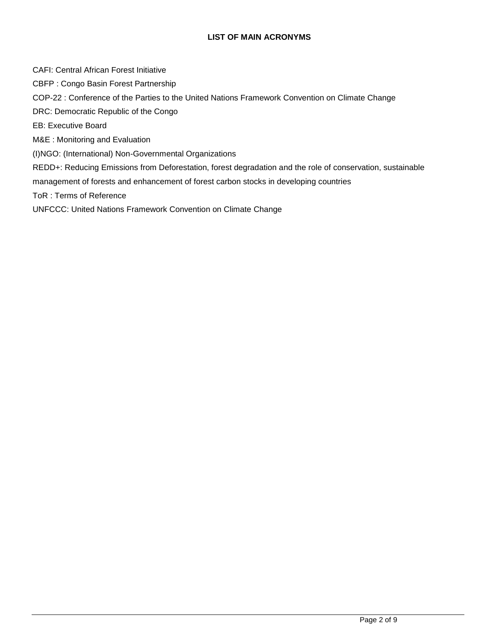#### **LIST OF MAIN ACRONYMS**

CAFI: Central African Forest Initiative

CBFP : Congo Basin Forest Partnership

COP-22 : Conference of the Parties to the United Nations Framework Convention on Climate Change

DRC: Democratic Republic of the Congo

EB: Executive Board

M&E : Monitoring and Evaluation

(I)NGO: (International) Non-Governmental Organizations

REDD+: Reducing Emissions from Deforestation, forest degradation and the role of conservation, sustainable

management of forests and enhancement of forest carbon stocks in developing countries

ToR : Terms of Reference

UNFCCC: United Nations Framework Convention on Climate Change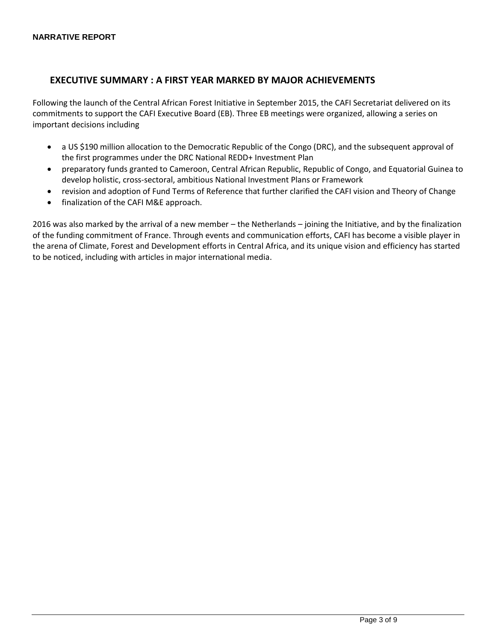# **EXECUTIVE SUMMARY : A FIRST YEAR MARKED BY MAJOR ACHIEVEMENTS**

Following the launch of the Central African Forest Initiative in September 2015, the CAFI Secretariat delivered on its commitments to support the CAFI Executive Board (EB). Three EB meetings were organized, allowing a series on important decisions including

- a US \$190 million allocation to the Democratic Republic of the Congo (DRC), and the subsequent approval of the first programmes under the DRC National REDD+ Investment Plan
- preparatory funds granted to Cameroon, Central African Republic, Republic of Congo, and Equatorial Guinea to develop holistic, cross-sectoral, ambitious National Investment Plans or Framework
- revision and adoption of Fund Terms of Reference that further clarified the CAFI vision and Theory of Change
- finalization of the CAFI M&E approach.

2016 was also marked by the arrival of a new member – the Netherlands – joining the Initiative, and by the finalization of the funding commitment of France. Through events and communication efforts, CAFI has become a visible player in the arena of Climate, Forest and Development efforts in Central Africa, and its unique vision and efficiency has started to be noticed, including with articles in major international media.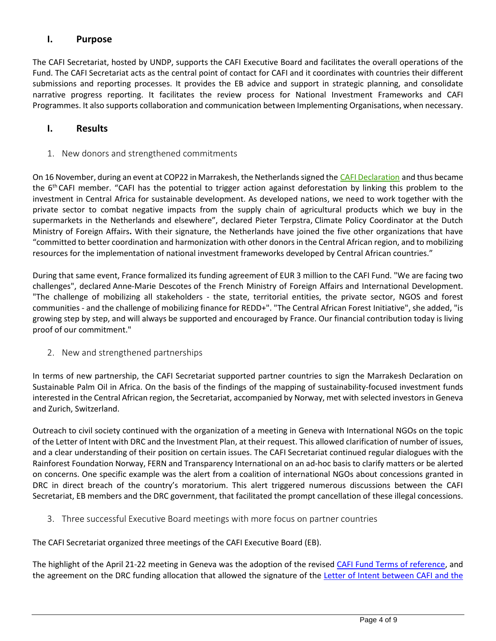## **I. Purpose**

The CAFI Secretariat, hosted by UNDP, supports the CAFI Executive Board and facilitates the overall operations of the Fund. The CAFI Secretariat acts as the central point of contact for CAFI and it coordinates with countries their different submissions and reporting processes. It provides the EB advice and support in strategic planning, and consolidate narrative progress reporting. It facilitates the review process for National Investment Frameworks and CAFI Programmes. It also supports collaboration and communication between Implementing Organisations, when necessary.

### **I. Results**

1. New donors and strengthened commitments

On 16 November, during an event at COP22 in Marrakesh, the Netherlands signed the [CAFI Declaration](http://www.cafi.org/content/cafi/en/home/our-work/the-cafi-declaration.html) and thus became the 6<sup>th</sup> CAFI member. "CAFI has the potential to trigger action against deforestation by linking this problem to the investment in Central Africa for sustainable development. As developed nations, we need to work together with the private sector to combat negative impacts from the supply chain of agricultural products which we buy in the supermarkets in the Netherlands and elsewhere", declared Pieter Terpstra, Climate Policy Coordinator at the Dutch Ministry of Foreign Affairs**.** With their signature, the Netherlands have joined the five other organizations that have "committed to better coordination and harmonization with other donors in the Central African region, and to mobilizing resources for the implementation of national investment frameworks developed by Central African countries."

During that same event, France formalized its funding agreement of EUR 3 million to the CAFI Fund. "We are facing two challenges", declared Anne-Marie Descotes of the French Ministry of Foreign Affairs and International Development. "The challenge of mobilizing all stakeholders - the state, territorial entities, the private sector, NGOS and forest communities - and the challenge of mobilizing finance for REDD+". "The Central African Forest Initiative", she added, "is growing step by step, and will always be supported and encouraged by France. Our financial contribution today is living proof of our commitment."

2. New and strengthened partnerships

In terms of new partnership, the CAFI Secretariat supported partner countries to sign the Marrakesh Declaration on Sustainable Palm Oil in Africa. On the basis of the findings of the mapping of sustainability-focused investment funds interested in the Central African region, the Secretariat, accompanied by Norway, met with selected investors in Geneva and Zurich, Switzerland.

Outreach to civil society continued with the organization of a meeting in Geneva with International NGOs on the topic of the Letter of Intent with DRC and the Investment Plan, at their request. This allowed clarification of number of issues, and a clear understanding of their position on certain issues. The CAFI Secretariat continued regular dialogues with the Rainforest Foundation Norway, FERN and Transparency International on an ad-hoc basis to clarify matters or be alerted on concerns. One specific example was the alert from a coalition of international NGOs about concessions granted in DRC in direct breach of the country's moratorium. This alert triggered numerous discussions between the CAFI Secretariat, EB members and the DRC government, that facilitated the prompt cancellation of these illegal concessions.

3. Three successful Executive Board meetings with more focus on partner countries

The CAFI Secretariat organized three meetings of the CAFI Executive Board (EB).

The highlight of the April 21-22 meeting in Geneva was the adoption of the revised [CAFI Fund Terms of reference,](http://www.cafi.org/content/dam/cafi/docs/Our-work/CAFI%20Terms%20of%20Reference%202016%2005%2006.pdf) and the agreement on the DRC funding allocation that allowed the signature of the Letter of Intent between CAFI and the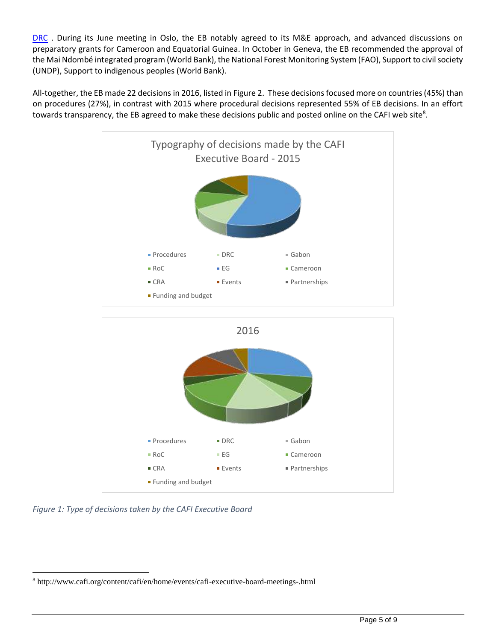[DRC](http://www.cafi.org/content/cafi/en/home/partner-countries/democratic-republic-of-the-congo/the-letter-of-intent-between-cafi-and-the-drc.html) . During its June meeting in Oslo, the EB notably agreed to its M&E approach, and advanced discussions on preparatory grants for Cameroon and Equatorial Guinea. In October in Geneva, the EB recommended the approval of the Mai Ndombé integrated program (World Bank), the National Forest Monitoring System (FAO), Support to civil society (UNDP), Support to indigenous peoples (World Bank).

All-together, the EB made 22 decisions in 2016, listed in Figure 2. These decisions focused more on countries (45%) than on procedures (27%), in contrast with 2015 where procedural decisions represented 55% of EB decisions. In an effort towards transparency, the EB agreed to make these decisions public and posted online on the CAFI web site<sup>8</sup>.





*Figure 1: Type of decisions taken by the CAFI Executive Board*

 $\overline{a}$ <sup>8</sup> http://www.cafi.org/content/cafi/en/home/events/cafi-executive-board-meetings-.html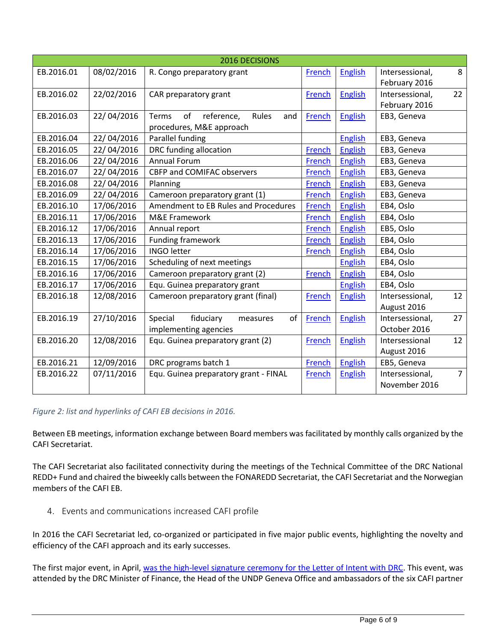| 2016 DECISIONS |            |                                           |               |                |                 |                |
|----------------|------------|-------------------------------------------|---------------|----------------|-----------------|----------------|
| EB.2016.01     | 08/02/2016 | R. Congo preparatory grant                | French        | <b>English</b> | Intersessional, | 8              |
|                |            |                                           |               |                | February 2016   |                |
| EB.2016.02     | 22/02/2016 | CAR preparatory grant                     | French        | English        | Intersessional, | 22             |
|                |            |                                           |               |                | February 2016   |                |
| EB.2016.03     | 22/04/2016 | Rules<br>of<br>Terms<br>reference,<br>and | French        | <b>English</b> | EB3, Geneva     |                |
|                |            | procedures, M&E approach                  |               |                |                 |                |
| EB.2016.04     | 22/04/2016 | Parallel funding                          |               | <b>English</b> | EB3, Geneva     |                |
| EB.2016.05     | 22/04/2016 | DRC funding allocation                    | French        | <b>English</b> | EB3, Geneva     |                |
| EB.2016.06     | 22/04/2016 | <b>Annual Forum</b>                       | French        | <b>English</b> | EB3, Geneva     |                |
| EB.2016.07     | 22/04/2016 | CBFP and COMIFAC observers                | French        | <b>English</b> | EB3, Geneva     |                |
| EB.2016.08     | 22/04/2016 | Planning                                  | French        | English        | EB3, Geneva     |                |
| EB.2016.09     | 22/04/2016 | Cameroon preparatory grant (1)            | French        | English        | EB3, Geneva     |                |
| EB.2016.10     | 17/06/2016 | Amendment to EB Rules and Procedures      | French        | <b>English</b> | EB4, Oslo       |                |
| EB.2016.11     | 17/06/2016 | M&E Framework                             | French        | English        | EB4, Oslo       |                |
| EB.2016.12     | 17/06/2016 | Annual report                             | <b>French</b> | English        | EB5, Oslo       |                |
| EB.2016.13     | 17/06/2016 | <b>Funding framework</b>                  | French        | <b>English</b> | EB4, Oslo       |                |
| EB.2016.14     | 17/06/2016 | <b>INGO letter</b>                        | French        | <b>English</b> | EB4, Oslo       |                |
| EB.2016.15     | 17/06/2016 | Scheduling of next meetings               |               | <b>English</b> | EB4, Oslo       |                |
| EB.2016.16     | 17/06/2016 | Cameroon preparatory grant (2)            | French        | <b>English</b> | EB4, Oslo       |                |
| EB.2016.17     | 17/06/2016 | Equ. Guinea preparatory grant             |               | <b>English</b> | EB4, Oslo       |                |
| EB.2016.18     | 12/08/2016 | Cameroon preparatory grant (final)        | French        | English        | Intersessional, | 12             |
|                |            |                                           |               |                | August 2016     |                |
| EB.2016.19     | 27/10/2016 | fiduciary<br>of<br>Special<br>measures    | French        | <b>English</b> | Intersessional, | 27             |
|                |            | implementing agencies                     |               |                | October 2016    |                |
| EB.2016.20     | 12/08/2016 | Equ. Guinea preparatory grant (2)         | <b>French</b> | <b>English</b> | Intersessional  | 12             |
|                |            |                                           |               |                | August 2016     |                |
| EB.2016.21     | 12/09/2016 | DRC programs batch 1                      | French        | <b>English</b> | EB5, Geneva     |                |
| EB.2016.22     | 07/11/2016 | Equ. Guinea preparatory grant - FINAL     | French        | <b>English</b> | Intersessional, | $\overline{7}$ |
|                |            |                                           |               |                | November 2016   |                |
|                |            |                                           |               |                |                 |                |

### *Figure 2: list and hyperlinks of CAFI EB decisions in 2016.*

Between EB meetings, information exchange between Board members was facilitated by monthly calls organized by the CAFI Secretariat.

The CAFI Secretariat also facilitated connectivity during the meetings of the Technical Committee of the DRC National REDD+ Fund and chaired the biweekly calls between the FONAREDD Secretariat, the CAFI Secretariat and the Norwegian members of the CAFI EB.

4. Events and communications increased CAFI profile

In 2016 the CAFI Secretariat led, co-organized or participated in five major public events, highlighting the novelty and efficiency of the CAFI approach and its early successes.

The first major event, in April, [was the high-level signature ceremony for the Letter of Intent with DRC.](http://www.europe.undp.org/content/geneva/en/home/presscenter/pressreleases/2016/04/22/major-agreement-between-cafi-and-the-drc-sets-best-practices-to-prevent-tree-loss-and-ensure-sustainable-development.html) This event, was attended by the DRC Minister of Finance, the Head of the UNDP Geneva Office and ambassadors of the six CAFI partner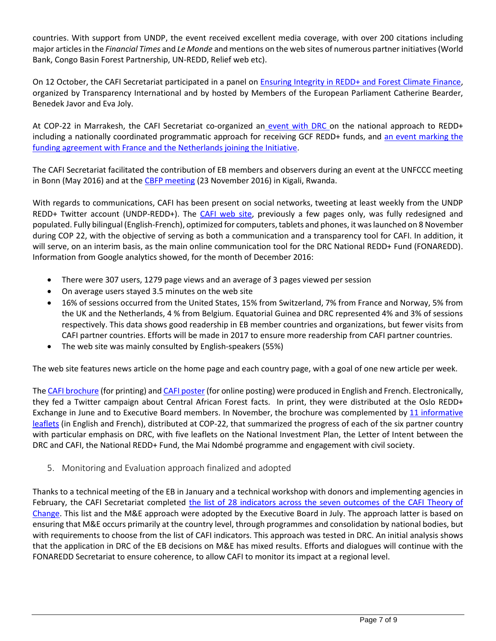countries. With support from UNDP, the event received excellent media coverage, with over 200 citations including major articles in the *Financial Times* and *Le Monde* and mentions on the web sites of numerous partner initiatives (World Bank, Congo Basin Forest Partnership, UN-REDD, Relief web etc).

On 12 October, the CAFI Secretariat participated in a panel on [Ensuring Integrity in REDD+ and Forest Climate Finance,](http://transparencyinternational.eu/wp-content/uploads/2016/09/draft-agenda-REDD-event-002.pdf) organized by Transparency International and by hosted by Members of the European Parliament Catherine Bearder, Benedek Javor and Eva Joly.

At COP-22 in Marrakesh, the CAFI Secretariat co-organized an event with DRC on the [national approach to REDD+](http://www.cafi.org/content/cafi/en/home/events/drc-high-level-event-at-cop-22.html)  including a [nationally coordinated programmatic approach for receiving GCF REDD+ funds,](http://www.cafi.org/content/cafi/en/home/events/drc-high-level-event-at-cop-22.html) and an event marking the [funding agreement with France and the Netherlands joining the Initiative.](http://www.cafi.org/content/cafi/en/home/events/the-netherlands-join-cafi-france-renews-commitment.html)

The CAFI Secretariat facilitated the contribution of EB members and observers during an event at the UNFCCC meeting in Bonn (May 2016) and at th[e CBFP meeting](http://www.cafi.org/content/cafi/en/home/events/cafi-session-at-cbfp-climate-stream.html) (23 November 2016) in Kigali, Rwanda.

With regards to communications, CAFI has been present on social networks, tweeting at least weekly from the UNDP REDD+ Twitter account (UNDP-REDD+). The [CAFI web site,](http://www.cafi.org/) previously a few pages only, was fully redesigned and populated. Fully bilingual (English-French), optimized for computers, tablets and phones, it was launched on 8 November during COP 22, with the objective of serving as both a communication and a transparency tool for CAFI. In addition, it will serve, on an interim basis, as the main online communication tool for the DRC National REDD+ Fund (FONAREDD). Information from Google analytics showed, for the month of December 2016:

- There were 307 users, 1279 page views and an average of 3 pages viewed per session
- On average users stayed 3.5 minutes on the web site
- 16% of sessions occurred from the United States, 15% from Switzerland, 7% from France and Norway, 5% from the UK and the Netherlands, 4 % from Belgium. Equatorial Guinea and DRC represented 4% and 3% of sessions respectively. This data shows good readership in EB member countries and organizations, but fewer visits from CAFI partner countries. Efforts will be made in 2017 to ensure more readership from CAFI partner countries.
- The web site was mainly consulted by English-speakers (55%)

The web site features news article on the home page and each country page, with a goal of one new article per week.

The [CAFI brochure](http://www.cafi.org/content/dam/cafi/docs/cafi-brochure-EN-2016.pdf) (for printing) and [CAFI poster](http://www.cafi.org/content/dam/cafi/docs/CAFI%20Poster%20for%20online%20posting.pdf) (for online posting) were produced in English and French. Electronically, they fed a Twitter campaign about Central African Forest facts. In print, they were distributed at the Oslo REDD+ Exchange in June and to Executive Board members. In November, the brochure was complemented by 11 [informative](http://www.cafi.org/content/cafi/en/home/events/cafi-leaflets-launched-at-cop-22.html) [leaflets](http://www.cafi.org/content/cafi/en/home/events/cafi-leaflets-launched-at-cop-22.html) (in English and French), distributed at COP-22, that summarized the progress of each of the six partner country with particular emphasis on DRC, with five leaflets on the National Investment Plan, the Letter of Intent between the DRC and CAFI, the National REDD+ Fund, the Mai Ndombé programme and engagement with civil society.

5. Monitoring and Evaluation approach finalized and adopted

Thanks to a technical meeting of the EB in January and a technical workshop with donors and implementing agencies in February, the CAFI Secretariat completed the list of 28 indicators across the seven outcomes of the CAFI Theory of [Change.](http://www.cafi.org/content/dam/cafi/docs/Our-work/CAFI%20outcome%20indicators%20-%20July%202016.pdf) This list and the M&E approach were adopted by the Executive Board in July. The approach latter is based on ensuring that M&E occurs primarily at the country level, through programmes and consolidation by national bodies, but with requirements to choose from the list of CAFI indicators. This approach was tested in DRC. An initial analysis shows that the application in DRC of the EB decisions on M&E has mixed results. Efforts and dialogues will continue with the FONAREDD Secretariat to ensure coherence, to allow CAFI to monitor its impact at a regional level.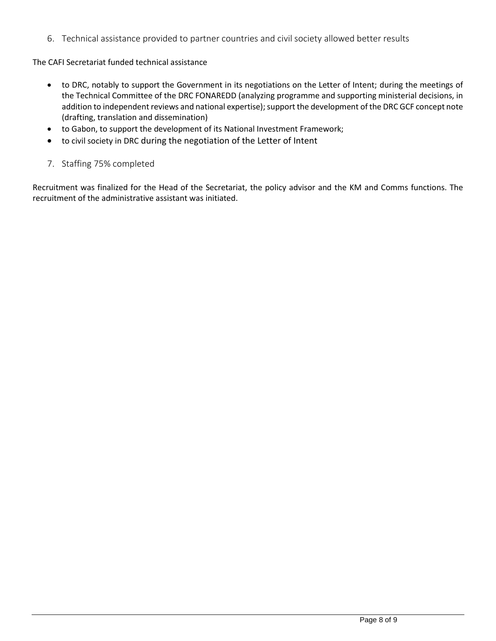6. Technical assistance provided to partner countries and civil society allowed better results

The CAFI Secretariat funded technical assistance

- to DRC, notably to support the Government in its negotiations on the Letter of Intent; during the meetings of the Technical Committee of the DRC FONAREDD (analyzing programme and supporting ministerial decisions, in addition to independent reviews and national expertise); support the development of the DRC GCF concept note (drafting, translation and dissemination)
- to Gabon, to support the development of its National Investment Framework;
- to civil society in DRC during the negotiation of the Letter of Intent
- 7. Staffing 75% completed

Recruitment was finalized for the Head of the Secretariat, the policy advisor and the KM and Comms functions. The recruitment of the administrative assistant was initiated.